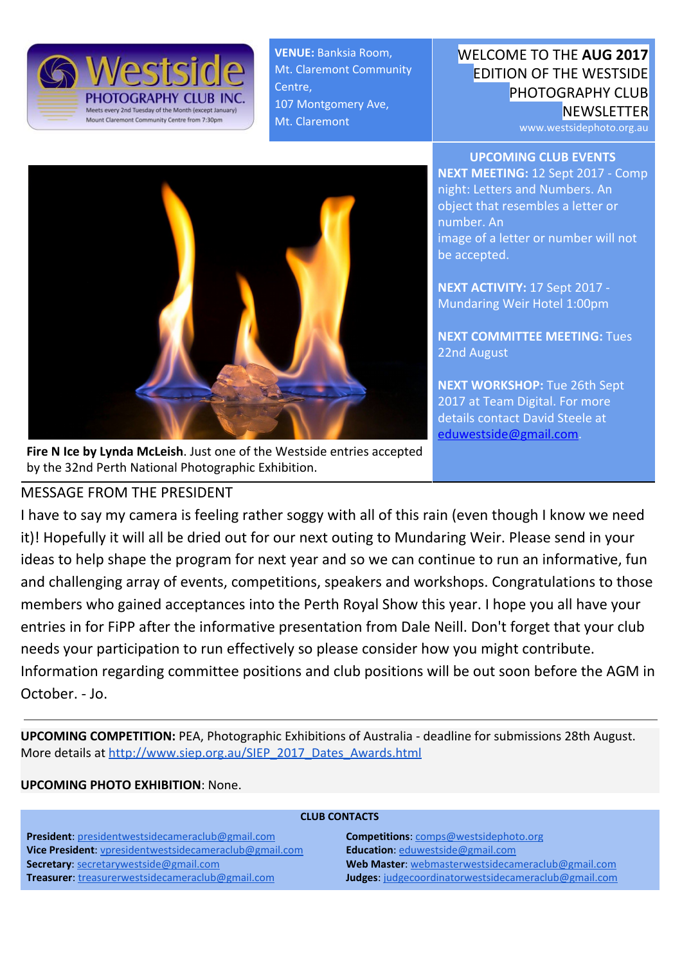

**VENUE:** Banksia Room, Mt. Claremont Community Centre, 107 Montgomery Ave, Mt. Claremont

## WELCOME TO THE **AUG 2017** EDITION OF THE WESTSIDE PHOTOGRAPHY CLUB **NEWSLETTER**

www.westsidephoto.org.au

**UPCOMING CLUB EVENTS NEXT MEETING:** 12 Sept 2017 - Comp night: Letters and Numbers. An object that resembles a letter or number. An image of a letter or number will not be accepted.

**NEXT ACTIVITY:** 17 Sept 2017 - Mundaring Weir Hotel 1:00pm

**NEXT COMMITTEE MEETING:** Tues 22nd August

**NEXT WORKSHOP:** Tue 26th Sept 2017 at Team Digital. For more details contact David Steele at [eduwestside@gmail.com.](mailto:eduwestside@gmail.com)



**Fire N Ice by Lynda McLeish**. Just one of the Westside entries accepted by the 32nd Perth National Photographic Exhibition.

## MESSAGE FROM THE PRESIDENT

I have to say my camera is feeling rather soggy with all of this rain (even though I know we need it)! Hopefully it will all be dried out for our next outing to Mundaring Weir. Please send in your ideas to help shape the program for next year and so we can continue to run an informative, fun and challenging array of events, competitions, speakers and workshops. Congratulations to those members who gained acceptances into the Perth Royal Show this year. I hope you all have your entries in for FiPP after the informative presentation from Dale Neill. Don't forget that your club needs your participation to run effectively so please consider how you might contribute. Information regarding committee positions and club positions will be out soon before the AGM in October. - Jo.

**UPCOMING COMPETITION:** PEA, Photographic Exhibitions of Australia - deadline for submissions 28th August. More details at [http://www.siep.org.au/SIEP\\_2017\\_Dates\\_Awards.html](http://www.siep.org.au/SIEP_2017_Dates_Awards.html)

### **UPCOMING PHOTO EXHIBITION**: None.

| <b>CLUB CONTACTS</b>                                          |                                                             |
|---------------------------------------------------------------|-------------------------------------------------------------|
| <b>President:</b> presidentwestsidecameraclub@gmail.com       | <b>Competitions:</b> comps@westsidephoto.org                |
| <b>Vice President:</b> vpresidentwestsidecameraclub@gmail.com | <b>Education:</b> eduwestside@gmail.com                     |
| <b>Secretary: secretarywestside@gmail.com</b>                 | Web Master: webmasterwestsidecameraclub@gmail.com           |
| <b>Treasurer:</b> treasurerwestsidecameraclub@gmail.com       | <b>Judges:</b> judgecoordinatorwestsidecameraclub@gmail.com |